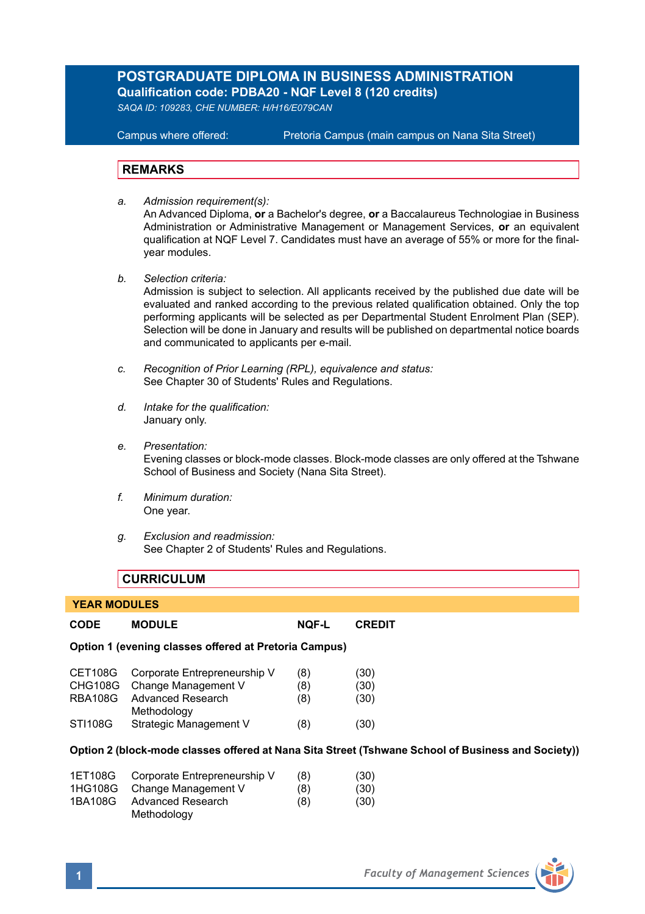# **POSTGRADUATE DIPLOMA IN BUSINESS ADMINISTRATION Qualification code: PDBA20 - NQF Level 8 (120 credits)**

*SAQA ID: 109283, CHE NUMBER: H/H16/E079CAN* 

**Campus where offered:** Pretoria Campus (main campus on Nana Sita Street)

#### **REMARKS**

- *a. Admission requirement(s):*  An Advanced Diploma, **or** a Bachelor's degree, **or** a Baccalaureus Technologiae in Business Administration or Administrative Management or Management Services, **or** an equivalent qualification at NQF Level 7. Candidates must have an average of 55% or more for the finalyear modules.
- *b. Selection criteria:*

Admission is subject to selection. All applicants received by the published due date will be evaluated and ranked according to the previous related qualification obtained. Only the top performing applicants will be selected as per Departmental Student Enrolment Plan (SEP). Selection will be done in January and results will be published on departmental notice boards and communicated to applicants per e-mail.

- *c. Recognition of Prior Learning (RPL), equivalence and status:* See Chapter 30 of Students' Rules and Regulations.
- *d. Intake for the qualification:* January only.
- *e. Presentation:* Evening classes or block-mode classes. Block-mode classes are only offered at the Tshwane School of Business and Society (Nana Sita Street).
- *f. Minimum duration:* One year.
- *g. Exclusion and readmission:* See Chapter 2 of Students' Rules and Regulations.

## **CURRICULUM**

#### **YEAR MODULES**

| CODE                         | <b>MODULE</b>                                         | <b>NOF-L</b> | <b>CREDIT</b>                                                                                      |
|------------------------------|-------------------------------------------------------|--------------|----------------------------------------------------------------------------------------------------|
|                              | Option 1 (evening classes offered at Pretoria Campus) |              |                                                                                                    |
| CET108G                      | Corporate Entrepreneurship V                          | (8)          | (30)                                                                                               |
| CHG108G                      | Change Management V                                   | (8)          | (30)                                                                                               |
| RBA108G                      | Advanced Research<br>Methodology                      | (8)          | (30)                                                                                               |
| STI108G                      | Strategic Management V                                | (8)          | (30)                                                                                               |
|                              |                                                       |              | Option 2 (block-mode classes offered at Nana Sita Street (Tshwane School of Business and Society)) |
| 1ET108G                      | Corporate Entrepreneurship V                          | (8)          | (30)                                                                                               |
| $\left( \frac{1}{2} \right)$ | $Q_1, \ldots, Q_n, M_1, \ldots, M_n, \ldots, M_n$     | $\sim$       | (0)                                                                                                |

|         | 1HG108G Change Management V | (8) | (30) |
|---------|-----------------------------|-----|------|
| 1BA108G | Advanced Research           | (8) | (30) |
|         | Methodology                 |     |      |

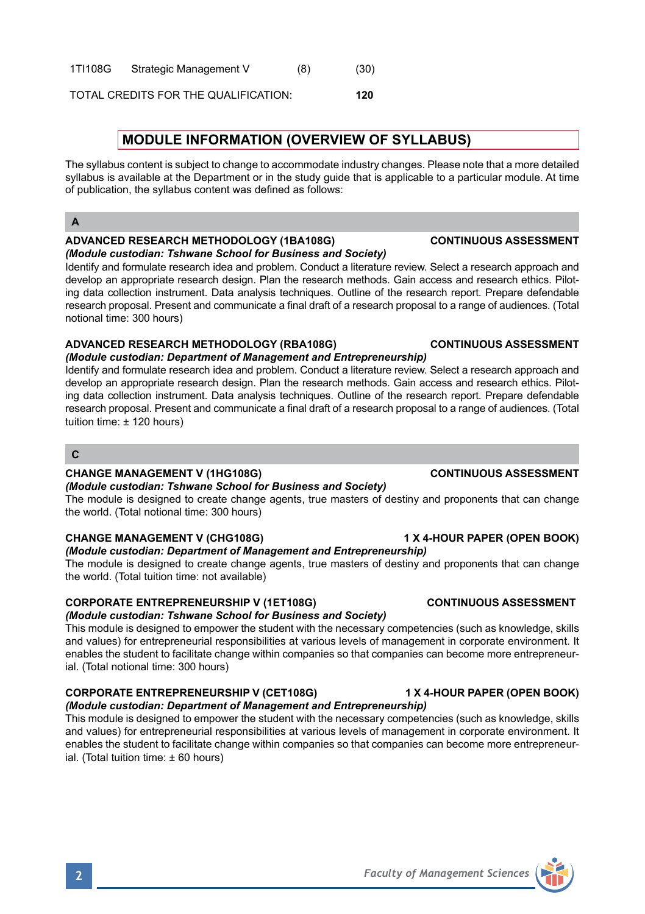#### 1TI108G Strategic Management V (8) (30)

TOTAL CREDITS FOR THE QUALIFICATION: **120**

# **MODULE INFORMATION (OVERVIEW OF SYLLABUS)**

The syllabus content is subject to change to accommodate industry changes. Please note that a more detailed syllabus is available at the Department or in the study guide that is applicable to a particular module. At time of publication, the syllabus content was defined as follows:

### **A**

# **ADVANCED RESEARCH METHODOLOGY (1BA108G) CONTINUOUS ASSESSMENT**

*(Module custodian: Tshwane School for Business and Society)* Identify and formulate research idea and problem. Conduct a literature review. Select a research approach and develop an appropriate research design. Plan the research methods. Gain access and research ethics. Piloting data collection instrument. Data analysis techniques. Outline of the research report. Prepare defendable research proposal. Present and communicate a final draft of a research proposal to a range of audiences. (Total notional time: 300 hours)

#### **ADVANCED RESEARCH METHODOLOGY (RBA108G) CONTINUOUS ASSESSMENT** *(Module custodian: Department of Management and Entrepreneurship)*

Identify and formulate research idea and problem. Conduct a literature review. Select a research approach and develop an appropriate research design. Plan the research methods. Gain access and research ethics. Piloting data collection instrument. Data analysis techniques. Outline of the research report. Prepare defendable research proposal. Present and communicate a final draft of a research proposal to a range of audiences. (Total tuition time: ± 120 hours)

#### **C**

#### **CHANGE MANAGEMENT V (1HG108G) CONTINUOUS ASSESSMENT**

*(Module custodian: Tshwane School for Business and Society)*

The module is designed to create change agents, true masters of destiny and proponents that can change the world. (Total notional time: 300 hours)

## **CHANGE MANAGEMENT V (CHG108G) 1 X 4-HOUR PAPER (OPEN BOOK)**

#### *(Module custodian: Department of Management and Entrepreneurship)* The module is designed to create change agents, true masters of destiny and proponents that can change

the world. (Total tuition time: not available)

## **CORPORATE ENTREPRENEURSHIP V (1ET108G) CONTINUOUS ASSESSMENT**

## *(Module custodian: Tshwane School for Business and Society)*

This module is designed to empower the student with the necessary competencies (such as knowledge, skills and values) for entrepreneurial responsibilities at various levels of management in corporate environment. It enables the student to facilitate change within companies so that companies can become more entrepreneurial. (Total notional time: 300 hours)

## **CORPORATE ENTREPRENEURSHIP V (CET108G) 1 X 4-HOUR PAPER (OPEN BOOK)**

# *(Module custodian: Department of Management and Entrepreneurship)*

This module is designed to empower the student with the necessary competencies (such as knowledge, skills and values) for entrepreneurial responsibilities at various levels of management in corporate environment. It enables the student to facilitate change within companies so that companies can become more entrepreneurial. (Total tuition time: ± 60 hours)